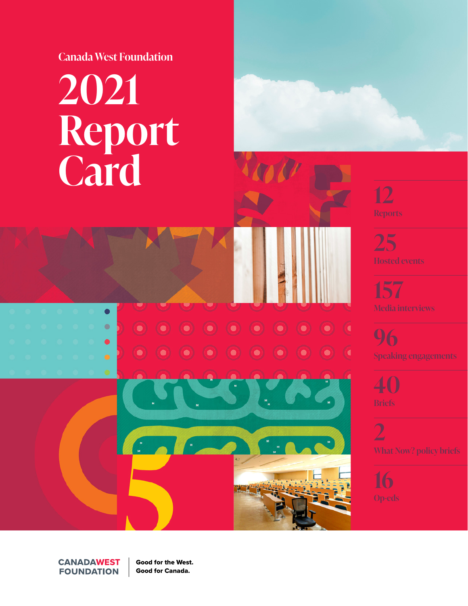**Canada West Foundation**

# **2021 Report Card**

 $\bullet$  $\bullet$ 

O

 $\bullet$ 

C

 $\bullet$ 

 $\bullet$ 

 $\bullet$ 

 $\bullet$  )

 $\bullet$ 

 $M$ 



**25**

**157**

**96**

**40**

**2**

**CANADAWEST FOUNDATION** 

Good for the West. Good for Canada.

 $\sim$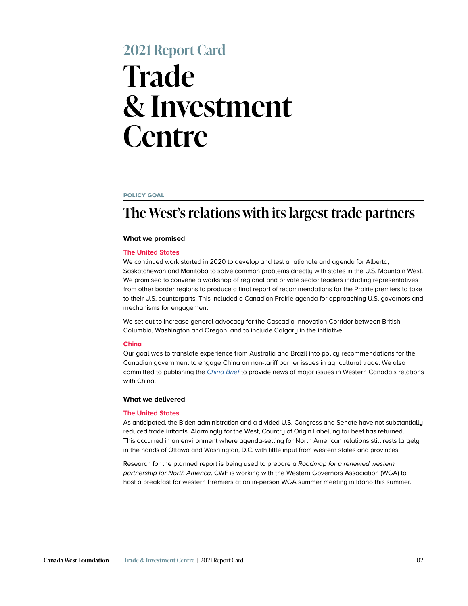## **2021 Report Card Trade & Investment Centre**

#### **policy goal**

## **The West's relations with its largest trade partners**

#### **What we promised**

#### **The United States**

We continued work started in 2020 to develop and test a rationale and agenda for Alberta, Saskatchewan and Manitoba to solve common problems directly with states in the U.S. Mountain West. We promised to convene a workshop of regional and private sector leaders including representatives from other border regions to produce a final report of recommendations for the Prairie premiers to take to their U.S. counterparts. This included a Canadian Prairie agenda for approaching U.S. governors and mechanisms for engagement.

We set out to increase general advocacy for the Cascadia Innovation Corridor between British Columbia, Washington and Oregon, and to include Calgary in the initiative.

#### **China**

Our goal was to translate experience from Australia and Brazil into policy recommendations for the Canadian government to engage China on non-tariff barrier issues in agricultural trade. We also committed to publishing the *[China Brief](https://cwf.ca/series/china-brief/)* to provide news of major issues in Western Canada's relations with China.

#### **What we delivered**

#### **The United States**

As anticipated, the Biden administration and a divided U.S. Congress and Senate have not substantially reduced trade irritants. Alarmingly for the West, Country of Origin Labelling for beef has returned. This occurred in an environment where agenda-setting for North American relations still rests largely in the hands of Ottawa and Washington, D.C. with little input from western states and provinces.

Research for the planned report is being used to prepare a *Roadmap for a renewed western partnership for North America*. CWF is working with the Western Governors Association (WGA) to host a breakfast for western Premiers at an in-person WGA summer meeting in Idaho this summer.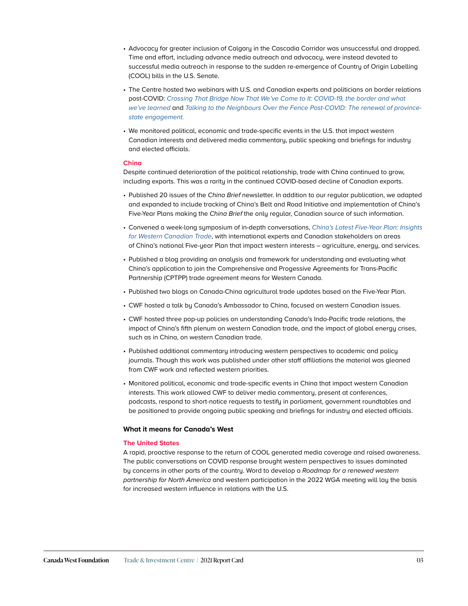- Advocacy for greater inclusion of Calgary in the Cascadia Corridor was unsuccessful and dropped. Time and effort, including advance media outreach and advocacy, were instead devoted to successful media outreach in response to the sudden re-emergence of Country of Origin Labelling (COOL) bills in the U.S. Senate.
- The Centre hosted two webinars with U.S. and Canadian experts and politicians on border relations post-COVID: *[Crossing That Bridge Now That We've Come to It: COVID-19, the border and what](https://cwf.ca/research/publications/crossing-that-bridge-now-that-weve-come-to-it/)  [we've learned](https://cwf.ca/research/publications/crossing-that-bridge-now-that-weve-come-to-it/)* and *[Talking to the Neighbours Over the Fence Post-COVID: The renewal of province](https://cwf.ca/research/publications/upcoming-event-talking-to-the-neighbours-over-the-fence-post-covid/)[state engagement.](https://cwf.ca/research/publications/upcoming-event-talking-to-the-neighbours-over-the-fence-post-covid/)*
- We monitored political, economic and trade-specific events in the U.S. that impact western Canadian interests and delivered media commentary, public speaking and briefings for industry and elected officials.

#### **China**

Despite continued deterioration of the political relationship, trade with China continued to grow, including exports. This was a rarity in the continued COVID-based decline of Canadian exports.

- Published 20 issues of the *China Brief* newsletter. In addition to our regular publication, we adapted and expanded to include tracking of China's Belt and Road Initiative and implementation of China's Five-Year Plans making the *China Brief* the only regular, Canadian source of such information.
- Convened a week-long symposium of in-depth conversations, *[China's Latest Five-Year Plan: Insights](https://cwf.ca/research/publications/symposium-chinas-latest-five-year-plan-insights-for-western-canadian-trade/)  [for Western Canadian Trade](https://cwf.ca/research/publications/symposium-chinas-latest-five-year-plan-insights-for-western-canadian-trade/)*, with international experts and Canadian stakeholders on areas of China's national Five-year Plan that impact western interests – agriculture, energy, and services.
- Published a blog providing an analysis and framework for understanding and evaluating what China's application to join the Comprehensive and Progessive Agreements for Trans-Pacific Partnership (CPTPP) trade agreement means for Western Canada.
- Published two blogs on Canada-China agricultural trade updates based on the Five-Year Plan.
- CWF hosted a talk by Canada's Ambassador to China, focused on western Canadian issues.
- CWF hosted three pop-up policies on understanding Canada's Indo-Pacific trade relations, the impact of China's fifth plenum on western Canadian trade, and the impact of global energy crises, such as in China, on western Canadian trade.
- Published additional commentary introducing western perspectives to academic and policy journals. Though this work was published under other staff affiliations the material was gleaned from CWF work and reflected western priorities.
- Monitored political, economic and trade-specific events in China that impact western Canadian interests. This work allowed CWF to deliver media commentary, present at conferences, podcasts, respond to short-notice requests to testify in parliament, government roundtables and be positioned to provide ongoing public speaking and briefings for industry and elected officials.

#### **What it means for Canada's West**

#### **The United States**

A rapid, proactive response to the return of COOL generated media coverage and raised awareness. The public conversations on COVID response brought western perspectives to issues dominated by concerns in other parts of the country. Word to develop a *Roadmap for a renewed western partnership for North America* and western participation in the 2022 WGA meeting will lay the basis for increased western influence in relations with the U.S.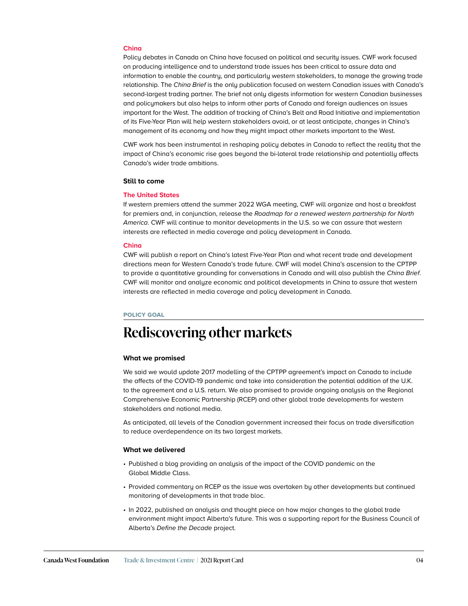#### **China**

Policy debates in Canada on China have focused on political and security issues. CWF work focused on producing intelligence and to understand trade issues has been critical to assure data and information to enable the country, and particularly western stakeholders, to manage the growing trade relationship. The *China Brief* is the only publication focused on western Canadian issues with Canada's second-largest trading partner. The brief not only digests information for western Canadian businesses and policymakers but also helps to inform other parts of Canada and foreign audiences on issues important for the West. The addition of tracking of China's Belt and Road Initiative and implementation of its Five-Year Plan will help western stakeholders avoid, or at least anticipate, changes in China's management of its economy and how they might impact other markets important to the West.

CWF work has been instrumental in reshaping policy debates in Canada to reflect the reality that the impact of China's economic rise goes beyond the bi-lateral trade relationship and potentially affects Canada's wider trade ambitions.

#### **Still to come**

#### **The United States**

If western premiers attend the summer 2022 WGA meeting, CWF will organize and host a breakfast for premiers and, in conjunction, release the *Roadmap for a renewed western partnership for North America*. CWF will continue to monitor developments in the U.S. so we can assure that western interests are reflected in media coverage and policy development in Canada.

#### **China**

CWF will publish a report on China's latest Five-Year Plan and what recent trade and development directions mean for Western Canada's trade future. CWF will model China's ascension to the CPTPP to provide a quantitative grounding for conversations in Canada and will also publish the *China Brief*. CWF will monitor and analyze economic and political developments in China to assure that western interests are reflected in media coverage and policy development in Canada.

#### **policy goal**

## **Rediscovering other markets**

#### **What we promised**

We said we would update 2017 modelling of the CPTPP agreement's impact on Canada to include the affects of the COVID-19 pandemic and take into consideration the potential addition of the U.K. to the agreement and a U.S. return. We also promised to provide ongoing analysis on the Regional Comprehensive Economic Partnership (RCEP) and other global trade developments for western stakeholders and national media.

As anticipated, all levels of the Canadian government increased their focus on trade diversification to reduce overdependence on its two largest markets.

- Published a blog providing an analysis of the impact of the COVID pandemic on the Global Middle Class.
- Provided commentary on RCEP as the issue was overtaken by other developments but continued monitoring of developments in that trade bloc.
- In 2022, published an analysis and thought piece on how major changes to the global trade environment might impact Alberta's future. This was a supporting report for the Business Council of Alberta's Define the Decade project.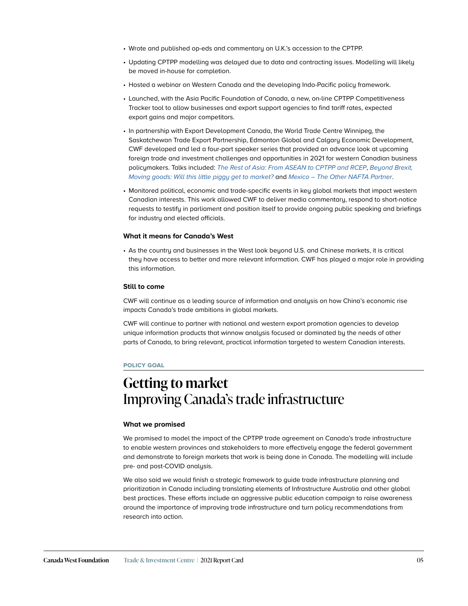- Wrote and published op-eds and commentary on U.K.'s accession to the CPTPP.
- Updating CPTPP modelling was delayed due to data and contracting issues. Modelling will likely be moved in-house for completion.
- Hosted a webinar on Western Canada and the developing Indo-Pacific policy framework.
- Launched, with the Asia Pacific Foundation of Canada, a new, on-line CPTPP Competitiveness Tracker tool to allow businesses and export support agencies to find tariff rates, expected export gains and major competitors.
- In partnership with Export Development Canada, the World Trade Centre Winnipeg, the Saskatchewan Trade Export Partnership, Edmonton Global and Calgary Economic Development, CWF developed and led a four-part speaker series that provided an advance look at upcoming foreign trade and investment challenges and opportunities in 2021 for western Canadian business policymakers. Talks included: *[The Rest of Asia: From ASEAN to CPTPP and RCEP](https://cwf.ca/research/publications/upcoming-events-trade-ahead-western-canada-speaker-series/)*, *Beyond Brexit, [Moving goods: Will this little piggy get to market?](https://cwf.ca/research/publications/upcoming-events-trade-ahead-western-canada-speaker-series/)* and *Mexico – The Other NAFTA Partner*.
- Monitored political, economic and trade-specific events in key global markets that impact western Canadian interests. This work allowed CWF to deliver media commentary, respond to short-notice requests to testify in parliament and position itself to provide ongoing public speaking and briefings for industry and elected officials.

• As the country and businesses in the West look beyond U.S. and Chinese markets, it is critical they have access to better and more relevant information. CWF has played a major role in providing this information.

#### **Still to come**

CWF will continue as a leading source of information and analysis on how China's economic rise impacts Canada's trade ambitions in global markets.

CWF will continue to partner with national and western export promotion agencies to develop unique information products that winnow analysis focused or dominated by the needs of other parts of Canada, to bring relevant, practical information targeted to western Canadian interests.

#### **policy goal**

### **Getting to market** Improving Canada's trade infrastructure

#### **What we promised**

We promised to model the impact of the CPTPP trade agreement on Canada's trade infrastructure to enable western provinces and stakeholders to more effectively engage the federal government and demonstrate to foreign markets that work is being done in Canada. The modelling will include pre- and post-COVID analysis.

We also said we would finish a strategic framework to guide trade infrastructure planning and prioritization in Canada including translating elements of Infrastructure Australia and other global best practices. These efforts include an aggressive public education campaign to raise awareness around the importance of improving trade infrastructure and turn policy recommendations from research into action.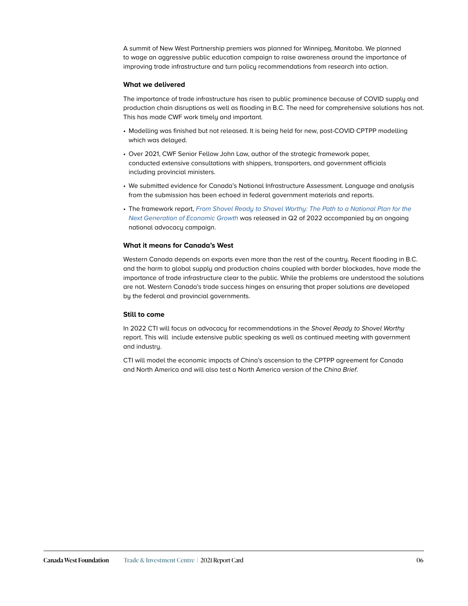A summit of New West Partnership premiers was planned for Winnipeg, Manitoba. We planned to wage an aggressive public education campaign to raise awareness around the importance of improving trade infrastructure and turn policy recommendations from research into action.

#### **What we delivered**

The importance of trade infrastructure has risen to public prominence because of COVID supply and production chain disruptions as well as flooding in B.C. The need for comprehensive solutions has not. This has made CWF work timely and important.

- Modelling was finished but not released. It is being held for new, post-COVID CPTPP modelling which was delayed.
- Over 2021, CWF Senior Fellow John Law, author of the strategic framework paper, conducted extensive consultations with shippers, transporters, and government officials including provincial ministers.
- We submitted evidence for Canada's National Infrastructure Assessment. Language and analysis from the submission has been echoed in federal government materials and reports.
- The framework report, *[From Shovel Ready to Shovel Worthy: The Path to a National Plan for the](https://cwf.ca/research/publications/new-report-from-shovel-ready-to-shovel-worthy/)  [Next Generation of Economic Growth](https://cwf.ca/research/publications/new-report-from-shovel-ready-to-shovel-worthy/)* was released in Q2 of 2022 accompanied by an ongoing national advocacy campaign.

#### **What it means for Canada's West**

Western Canada depends on exports even more than the rest of the country. Recent flooding in B.C. and the harm to global supply and production chains coupled with border blockades, have made the importance of trade infrastructure clear to the public. While the problems are understood the solutions are not. Western Canada's trade success hinges on ensuring that proper solutions are developed by the federal and provincial governments.

#### **Still to come**

In 2022 CTI will focus on advocacy for recommendations in the *Shovel Ready to Shovel Worthy* report. This will include extensive public speaking as well as continued meeting with government and industry.

CTI will model the economic impacts of China's ascension to the CPTPP agreement for Canada and North America and will also test a North America version of the *China Brief*.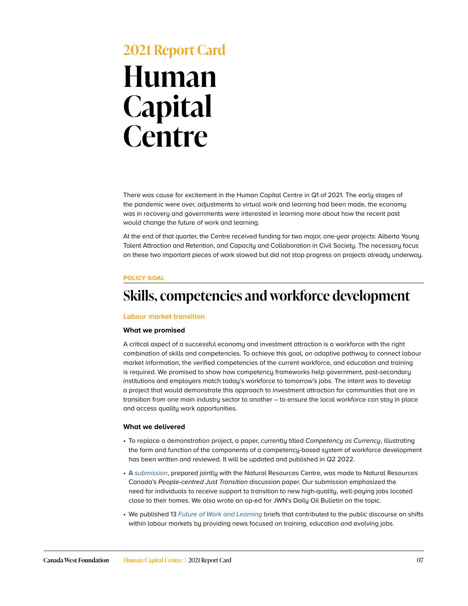## **2021 Report Card Human Capital Centre**

There was cause for excitement in the Human Capital Centre in Q1 of 2021. The early stages of the pandemic were over, adjustments to virtual work and learning had been made, the economy was in recovery and governments were interested in learning more about how the recent past would change the future of work and learning.

At the end of that quarter, the Centre received funding for two major, one-year projects: Alberta Young Talent Attraction and Retention, and Capacity and Collaboration in Civil Society. The necessary focus on these two important pieces of work slowed but did not stop progress on projects already underway.

#### **policy goal**

## **Skills, competencies and workforce development**

#### **Labour market transition**

#### **What we promised**

A critical aspect of a successful economy and investment attraction is a workforce with the right combination of skills and competencies. To achieve this goal, an adaptive pathway to connect labour market information, the verified competencies of the current workforce, and education and training is required. We promised to show how competency frameworks help government, post-secondary institutions and employers match today's workforce to tomorrow's jobs. The intent was to develop a project that would demonstrate this approach to investment attraction for communities that are in transition from one main industry sector to another – to ensure the local workforce can stay in place and access quality work opportunities.

- To replace a demonstration project, a paper, currently titled *Competency as Currency*, illustrating the form and function of the components of a competency-based system of workforce development has been written and reviewed. It will be updated and published in Q2 2022.
- A *[submission](https://cwf.ca/research/publications/submission-comments-on-the-people-centred-just-transition-discussion-paper/)*, prepared jointly with the Natural Resources Centre, was made to Natural Resources Canada's *People-centred Just Transition* discussion paper. Our submission emphasized the need for individuals to receive support to transition to new high-quality, well-paying jobs located close to their homes. We also wrote an op-ed for JWN's Daily Oil Bulletin on the topic.
- We published 13 *[Future of Work and Learning](https://cwf.ca/series/the-future-of-work-and-learning-brief/)* briefs that contributed to the public discourse on shifts within labour markets by providing news focused on training, education and evolving jobs.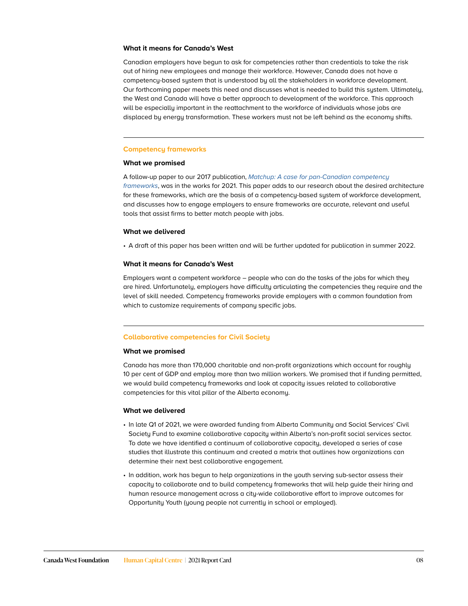Canadian employers have begun to ask for competencies rather than credentials to take the risk out of hiring new employees and manage their workforce. However, Canada does not have a competency-based system that is understood by all the stakeholders in workforce development. Our forthcoming paper meets this need and discusses what is needed to build this system. Ultimately, the West and Canada will have a better approach to development of the workforce. This approach will be especially important in the reattachment to the workforce of individuals whose jobs are displaced by energy transformation. These workers must not be left behind as the economy shifts.

#### **Competency frameworks**

#### **What we promised**

A follow-up paper to our 2017 publication, *[Matchup: A case for pan-Canadian competency](https://cwf.ca/research/publications/matchup-a-case-for-pan-canadian-competency-frameworks/)  [frameworks](https://cwf.ca/research/publications/matchup-a-case-for-pan-canadian-competency-frameworks/)*, was in the works for 2021. This paper adds to our research about the desired architecture for these frameworks, which are the basis of a competency-based system of workforce development, and discusses how to engage employers to ensure frameworks are accurate, relevant and useful tools that assist firms to better match people with jobs.

#### **What we delivered**

• A draft of this paper has been written and will be further updated for publication in summer 2022.

#### **What it means for Canada's West**

Employers want a competent workforce – people who can do the tasks of the jobs for which they are hired. Unfortunately, employers have difficulty articulating the competencies they require and the level of skill needed. Competency frameworks provide employers with a common foundation from which to customize requirements of company specific jobs.

#### **Collaborative competencies for Civil Society**

#### **What we promised**

Canada has more than 170,000 charitable and non-profit organizations which account for roughly 10 per cent of GDP and employ more than two million workers. We promised that if funding permitted, we would build competency frameworks and look at capacity issues related to collaborative competencies for this vital pillar of the Alberta economy.

- In late Q1 of 2021, we were awarded funding from Alberta Community and Social Services' Civil Society Fund to examine collaborative capacity within Alberta's non-profit social services sector. To date we have identified a continuum of collaborative capacity, developed a series of case studies that illustrate this continuum and created a matrix that outlines how organizations can determine their next best collaborative engagement.
- In addition, work has begun to help organizations in the youth serving sub-sector assess their capacity to collaborate and to build competency frameworks that will help guide their hiring and human resource management across a city-wide collaborative effort to improve outcomes for Opportunity Youth (young people not currently in school or employed).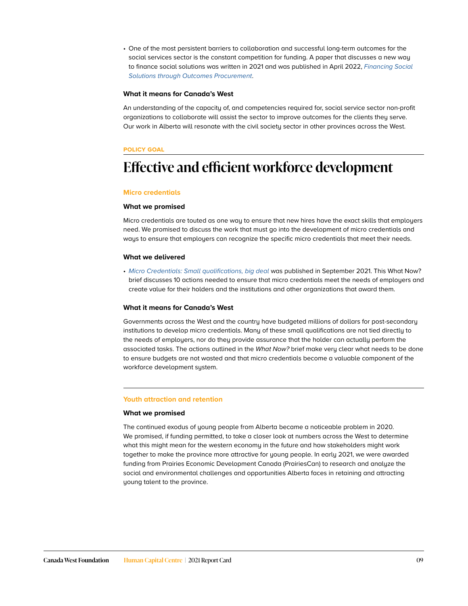• One of the most persistent barriers to collaboration and successful long-term outcomes for the social services sector is the constant competition for funding. A paper that discusses a new way to finance social solutions was written in 2021 and was published in April 2022, *[Financing Social](https://cwf.ca/research/publications/new-report-financing-social-solutions-through-outcomes-procurement/)  [Solutions through Outcomes Procurement](https://cwf.ca/research/publications/new-report-financing-social-solutions-through-outcomes-procurement/)*.

#### **What it means for Canada's West**

An understanding of the capacity of, and competencies required for, social service sector non-profit organizations to collaborate will assist the sector to improve outcomes for the clients they serve. Our work in Alberta will resonate with the civil society sector in other provinces across the West.

#### **policy goal**

## **Effective and efficient workforce development**

#### **Micro credentials**

#### **What we promised**

Micro credentials are touted as one way to ensure that new hires have the exact skills that employers need. We promised to discuss the work that must go into the development of micro credentials and ways to ensure that employers can recognize the specific micro credentials that meet their needs.

#### **What we delivered**

• [Micro Credentials: Small qualifications, big deal](https://cwf.ca/research/publications/what-now-micro-credentials-small-qualifications-big-deal/) was published in September 2021. This What Now? brief discusses 10 actions needed to ensure that micro credentials meet the needs of employers and create value for their holders and the institutions and other organizations that award them.

#### **What it means for Canada's West**

Governments across the West and the country have budgeted millions of dollars for post-secondary institutions to develop micro credentials. Many of these small qualifications are not tied directly to the needs of employers, nor do they provide assurance that the holder can actually perform the associated tasks. The actions outlined in the *What Now?* brief make very clear what needs to be done to ensure budgets are not wasted and that micro credentials become a valuable component of the workforce development system.

#### **Youth attraction and retention**

#### **What we promised**

The continued exodus of young people from Alberta became a noticeable problem in 2020. We promised, if funding permitted, to take a closer look at numbers across the West to determine what this might mean for the western economy in the future and how stakeholders might work together to make the province more attractive for young people. In early 2021, we were awarded funding from Prairies Economic Development Canada (PrairiesCan) to research and analyze the social and environmental challenges and opportunities Alberta faces in retaining and attracting young talent to the province.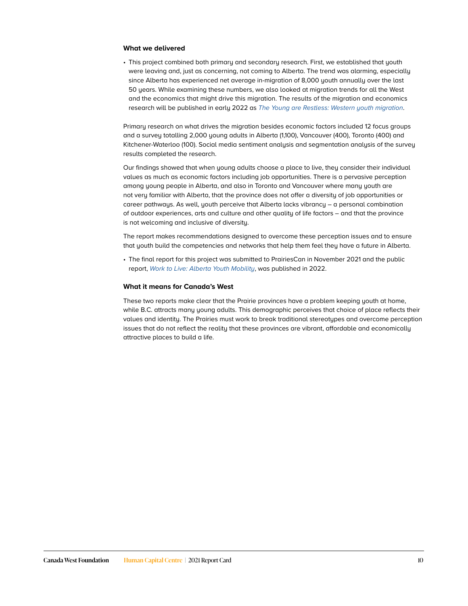#### **What we delivered**

• This project combined both primary and secondary research. First, we established that youth were leaving and, just as concerning, not coming to Alberta. The trend was alarming, especially since Alberta has experienced net average in-migration of 8,000 youth annually over the last 50 years. While examining these numbers, we also looked at migration trends for all the West and the economics that might drive this migration. The results of the migration and economics research will be published in early 2022 as *[The Young are Restless: Western youth migration](https://cwf.ca/research/publications/new-report-the-young-are-restless-western-youth-migration/)*.

Primary research on what drives the migration besides economic factors included 12 focus groups and a survey totalling 2,000 young adults in Alberta (1,100), Vancouver (400), Toronto (400) and Kitchener-Waterloo (100). Social media sentiment analysis and segmentation analysis of the survey results completed the research.

Our findings showed that when young adults choose a place to live, they consider their individual values as much as economic factors including job opportunities. There is a pervasive perception among young people in Alberta, and also in Toronto and Vancouver where many youth are not very familiar with Alberta, that the province does not offer a diversity of job opportunities or career pathways. As well, youth perceive that Alberta lacks vibrancy – a personal combination of outdoor experiences, arts and culture and other quality of life factors – and that the province is not welcoming and inclusive of diversity.

The report makes recommendations designed to overcome these perception issues and to ensure that youth build the competencies and networks that help them feel they have a future in Alberta.

• The final report for this project was submitted to PrairiesCan in November 2021 and the public report, *[Work to Live: Alberta Youth Mobility](https://cwf.ca/research/publications/new-report-work-to-live-alberta-youth-mobility/)*, was published in 2022.

#### **What it means for Canada's West**

These two reports make clear that the Prairie provinces have a problem keeping youth at home, while B.C. attracts many young adults. This demographic perceives that choice of place reflects their values and identity. The Prairies must work to break traditional stereotypes and overcome perception issues that do not reflect the reality that these provinces are vibrant, affordable and economically attractive places to build a life.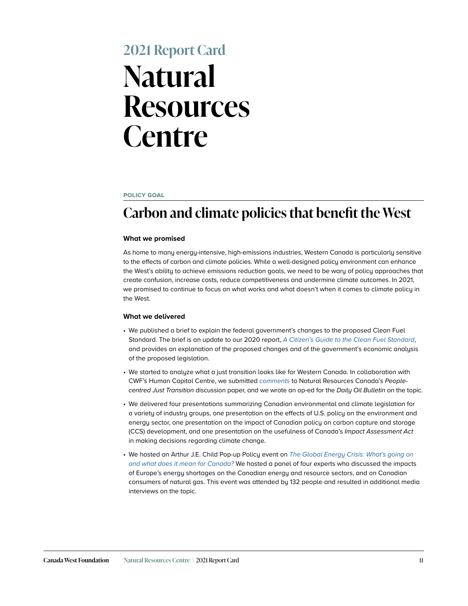## **2021 Report Card Natural Resources Centre**

#### **policy goal**

## **Carbon and climate policies that benefit the West**

#### **What we promised**

As home to many energy-intensive, high-emissions industries, Western Canada is particularly sensitive to the effects of carbon and climate policies. While a well-designed policy environment can enhance the West's ability to achieve emissions reduction goals, we need to be wary of policy approaches that create confusion, increase costs, reduce competitiveness and undermine climate outcomes. In 2021, we promised to continue to focus on what works and what doesn't when it comes to climate policy in the West.

- We published a brief to explain the federal government's changes to the proposed Clean Fuel Standard. The brief is an update to our 2020 report, *[A Citizen's Guide to the Clean Fuel Standard](https://cwf.ca/research/publications/report-a-citizens-guide-to-the-clean-fuel-standard/)*, and provides an explanation of the proposed changes and of the government's economic analysis of the proposed legislation.
- We started to analyze what a just transition looks like for Western Canada. In collaboration with CWF's Human Capital Centre, we submitted *[comments](https://cwf.ca/research/publications/submission-comments-on-the-people-centred-just-transition-discussion-paper/)* to Natural Resources Canada's *Peoplecentred Just Transition* discussion paper, and we wrote an op-ed for the *Daily Oil Bulletin* on the topic.
- We delivered four presentations summarizing Canadian environmental and climate legislation for a variety of industry groups, one presentation on the effects of U.S. policy on the environment and energy sector, one presentation on the impact of Canadian policy on carbon capture and storage (CCS) development, and one presentation on the usefulness of Canada's *Impact Assessment Act* in making decisions regarding climate change.
- We hosted an Arthur J.E. Child Pop-up Policy event on *[The Global Energy Crisis: What's going on](https://cwf.ca/research/publications/upcoming-event-global-energy-crises-whats-going-on-what-does-it-mean-for-canada/)  [and what does it mean for Canada?](https://cwf.ca/research/publications/upcoming-event-global-energy-crises-whats-going-on-what-does-it-mean-for-canada/)* We hosted a panel of four experts who discussed the impacts of Europe's energy shortages on the Canadian energy and resource sectors, and on Canadian consumers of natural gas. This event was attended by 132 people and resulted in additional media interviews on the topic.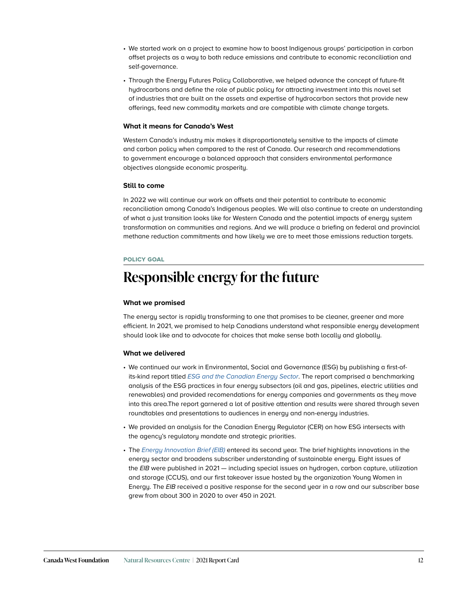- We started work on a project to examine how to boost Indigenous groups' participation in carbon offset projects as a way to both reduce emissions and contribute to economic reconciliation and self-governance.
- Through the Energy Futures Policy Collaborative, we helped advance the concept of future-fit hydrocarbons and define the role of public policy for attracting investment into this novel set of industries that are built on the assets and expertise of hydrocarbon sectors that provide new offerings, feed new commodity markets and are compatible with climate change targets.

Western Canada's industry mix makes it disproportionately sensitive to the impacts of climate and carbon policy when compared to the rest of Canada. Our research and recommendations to government encourage a balanced approach that considers environmental performance objectives alongside economic prosperity.

#### **Still to come**

In 2022 we will continue our work on offsets and their potential to contribute to economic reconciliation among Canada's Indigenous peoples. We will also continue to create an understanding of what a just transition looks like for Western Canada and the potential impacts of energy system transformation on communities and regions. And we will produce a briefing on federal and provincial methane reduction commitments and how likely we are to meet those emissions reduction targets.

#### **policy goal**

## **Responsible energy for the future**

#### **What we promised**

The energy sector is rapidly transforming to one that promises to be cleaner, greener and more efficient. In 2021, we promised to help Canadians understand what responsible energy development should look like and to advocate for choices that make sense both locally and globally.

- We continued our work in Environmental, Social and Governance (ESG) by publishing a first-ofits-kind report titled *[ESG and the Canadian Energy Sector](https://cwf.ca/research/publications/report-esg-and-the-canadian-energy-sector/)*. The report comprised a benchmarking analysis of the ESG practices in four energy subsectors (oil and gas, pipelines, electric utilities and renewables) and provided recomendations for energy companies and governments as they move into this area.The report garnered a lot of positive attention and results were shared through seven roundtables and presentations to audiences in energy and non-energy industries.
- We provided an analysis for the Canadian Energy Regulator (CER) on how ESG intersects with the agency's regulatory mandate and strategic priorities.
- The *[Energy Innovation Brief](https://cwf.ca/series/energy-innovation-brief/) (EIB)* entered its second year. The brief highlights innovations in the energy sector and broadens subscriber understanding of sustainable energy. Eight issues of the *EIB* were published in 2021 — including special issues on hydrogen, carbon capture, utilization and storage (CCUS), and our first takeover issue hosted by the organization Young Women in Energy. The *EIB* received a positive response for the second year in a row and our subscriber base grew from about 300 in 2020 to over 450 in 2021.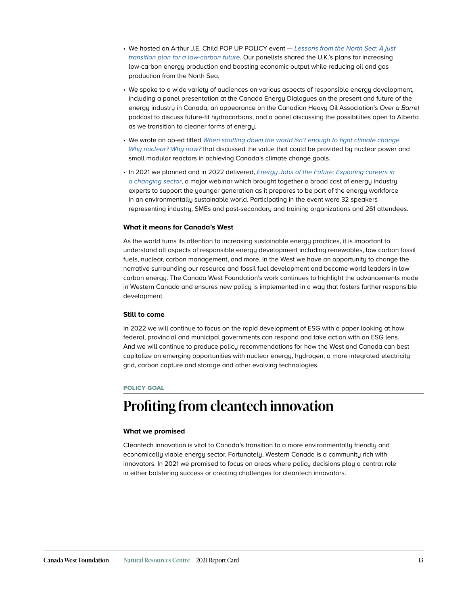- We hosted an Arthur J.E. Child POP UP POLICY event *[Lessons from the North Sea: A just](https://cwf.ca/research/publications/cwf-arthur-j-e-child-pop-up-policy-lessons-from-the-north-sea-a-just-transition-plan-for-a-low-carbon-future/)  [transition plan for a low-carbon future](https://cwf.ca/research/publications/cwf-arthur-j-e-child-pop-up-policy-lessons-from-the-north-sea-a-just-transition-plan-for-a-low-carbon-future/)*. Our panelists shared the U.K.'s plans for increasing low-carbon energy production and boosting economic output while reducing oil and gas production from the North Sea.
- We spoke to a wide variety of audiences on various aspects of responsible energy development, including a panel presentation at the Canada Energy Dialogues on the present and future of the energy industry in Canada, an appearance on the Canadian Heavy Oil Association's *Over a Barrel* podcast to discuss future-fit hydrocarbons, and a panel discussing the possibilities open to Alberta as we transition to cleaner forms of energy.
- We wrote an op-ed titled [When shutting down the world isn't enough to fight climate change.](https://cna.ca/2021/03/17/when-shutting-down-the-world-isnt-enough-to-fight-climate-change-why-nuclear-why-now/)  *[Why nuclear?](https://cna.ca/2021/03/17/when-shutting-down-the-world-isnt-enough-to-fight-climate-change-why-nuclear-why-now/) Why now?* that discussed the value that could be provided by nuclear power and small modular reactors in achieving Canada's climate change goals.
- In 2021 we planned and in 2022 delivered, *[Energy Jobs of the Future: Exploring careers in](https://cwf.ca/research/publications/cwf-virtual-event-energy-jobs-of-the-future/)  [a changing sector](https://cwf.ca/research/publications/cwf-virtual-event-energy-jobs-of-the-future/)*, a major webinar which brought together a broad cast of energy industry experts to support the younger generation as it prepares to be part of the energy workforce in an environmentally sustainable world. Participating in the event were 32 speakers representing industry, SMEs and post-secondary and training organizations and 261 attendees.

As the world turns its attention to increasing sustainable energy practices, it is important to understand all aspects of responsible energy development including renewables, low carbon fossil fuels, nuclear, carbon management, and more. In the West we have an opportunity to change the narrative surrounding our resource and fossil fuel development and become world leaders in low carbon energy. The Canada West Foundation's work continues to highlight the advancements made in Western Canada and ensures new policy is implemented in a way that fosters further responsible development.

#### **Still to come**

In 2022 we will continue to focus on the rapid development of ESG with a paper looking at how federal, provincial and municipal governments can respond and take action with an ESG lens. And we will continue to produce policy recommendations for how the West and Canada can best capitalize on emerging opportunities with nuclear energy, hydrogen, a more integrated electricity grid, carbon capture and storage and other evolving technologies.

#### **policy goal**

## **Profiting from cleantech innovation**

#### **What we promised**

Cleantech innovation is vital to Canada's transition to a more environmentally friendly and economically viable energy sector. Fortunately, Western Canada is a community rich with innovators. In 2021 we promised to focus on areas where policy decisions play a central role in either bolstering success or creating challenges for cleantech innovators.